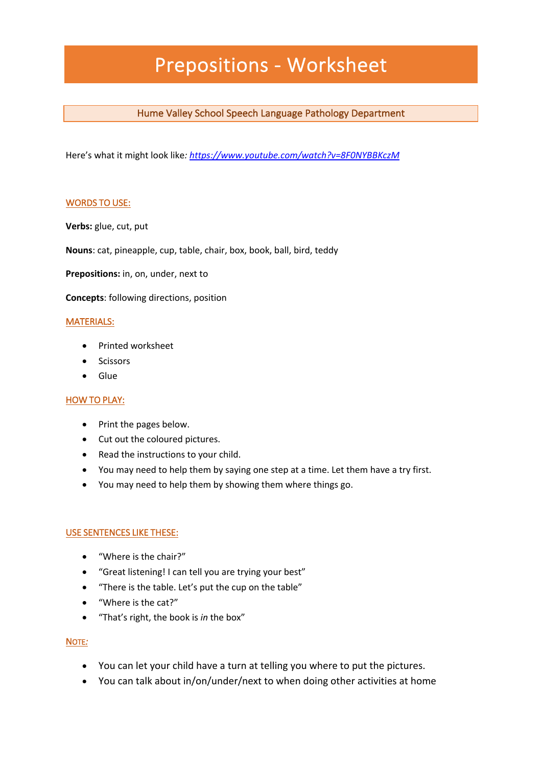## Prepositions - Worksheet

### Hume Valley School Speech Language Pathology Department

Here's what it might look like*: https://www.youtube.com/watch?v=8F0NYBBKczM*

#### WORDS TO USE:

**Verbs:** glue, cut, put

**Nouns**: cat, pineapple, cup, table, chair, box, book, ball, bird, teddy

**Prepositions:** in, on, under, next to

**Concepts**: following directions, position

#### MATERIALS:

- Printed worksheet
- Scissors
- Glue

#### **HOW TO PLAY:**

- Print the pages below.
- Cut out the coloured pictures.
- Read the instructions to your child.
- You may need to help them by saying one step at a time. Let them have a try first.
- You may need to help them by showing them where things go.

#### USE SENTENCES LIKE THESE:

- "Where is the chair?"
- "Great listening! I can tell you are trying your best"
- "There is the table. Let's put the cup on the table"
- "Where is the cat?"
- "That's right, the book is *in* the box"

#### NOTE*:*

- You can let your child have a turn at telling you where to put the pictures.
- You can talk about in/on/under/next to when doing other activities at home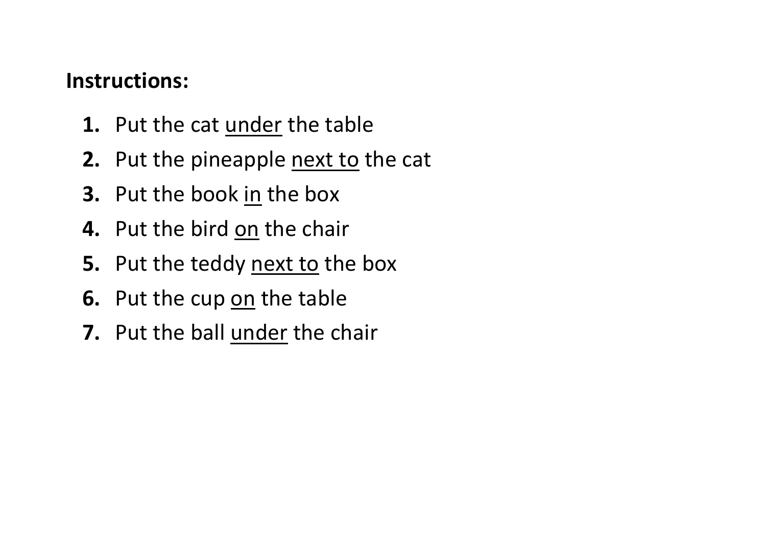# **Instructions:**

- **1.** Put the cat under the table
- **2.** Put the pineapple next to the cat
- **3.** Put the book in the box
- **4.** Put the bird on the chair
- **5.** Put the teddy next to the box
- **6.** Put the cup on the table
- **7.** Put the ball under the chair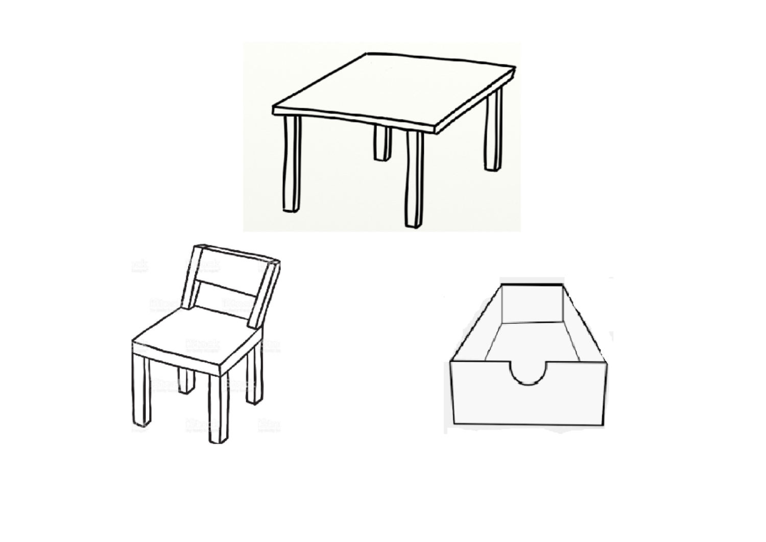